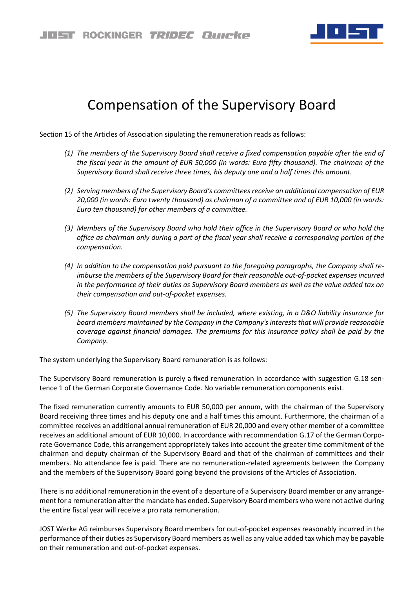

## Compensation of the Supervisory Board

Section 15 of the Articles of Association sipulating the remuneration reads as follows:

- *(1) The members of the Supervisory Board shall receive a fixed compensation payable after the end of the fiscal year in the amount of EUR 50,000 (in words: Euro fifty thousand). The chairman of the Supervisory Board shall receive three times, his deputy one and a half times this amount.*
- *(2) Serving members of the Supervisory Board's committees receive an additional compensation of EUR 20,000 (in words: Euro twenty thousand) as chairman of a committee and of EUR 10,000 (in words: Euro ten thousand) for other members of a committee.*
- *(3) Members of the Supervisory Board who hold their office in the Supervisory Board or who hold the office as chairman only during a part of the fiscal year shall receive a corresponding portion of the compensation.*
- *(4) In addition to the compensation paid pursuant to the foregoing paragraphs, the Company shall reimburse the members of the Supervisory Board for their reasonable out-of-pocket expenses incurred in the performance of their duties as Supervisory Board members as well as the value added tax on their compensation and out-of-pocket expenses.*
- *(5) The Supervisory Board members shall be included, where existing, in a D&O liability insurance for board members maintained by the Company in the Company's interests that will provide reasonable coverage against financial damages. The premiums for this insurance policy shall be paid by the Company.*

The system underlying the Supervisory Board remuneration is as follows:

The Supervisory Board remuneration is purely a fixed remuneration in accordance with suggestion G.18 sentence 1 of the German Corporate Governance Code. No variable remuneration components exist.

The fixed remuneration currently amounts to EUR 50,000 per annum, with the chairman of the Supervisory Board receiving three times and his deputy one and a half times this amount. Furthermore, the chairman of a committee receives an additional annual remuneration of EUR 20,000 and every other member of a committee receives an additional amount of EUR 10,000. In accordance with recommendation G.17 of the German Corporate Governance Code, this arrangement appropriately takes into account the greater time commitment of the chairman and deputy chairman of the Supervisory Board and that of the chairman of committees and their members. No attendance fee is paid. There are no remuneration-related agreements between the Company and the members of the Supervisory Board going beyond the provisions of the Articles of Association.

There is no additional remuneration in the event of a departure of a Supervisory Board member or any arrangement for a remuneration after the mandate has ended. Supervisory Board members who were not active during the entire fiscal year will receive a pro rata remuneration.

JOST Werke AG reimburses Supervisory Board members for out-of-pocket expenses reasonably incurred in the performance of their duties as Supervisory Board members as well as any value added tax which may be payable on their remuneration and out-of-pocket expenses.